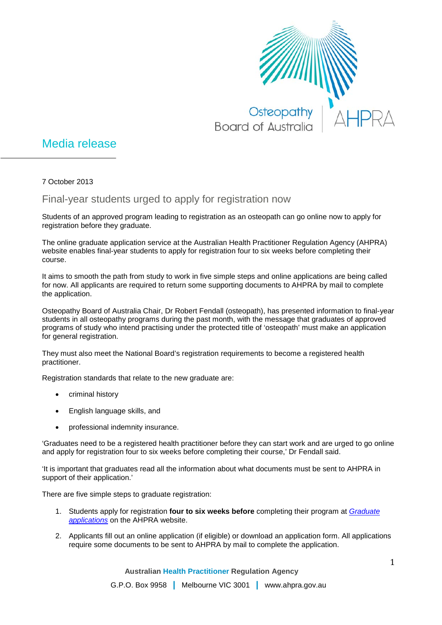

## Media release

7 October 2013

## Final-year students urged to apply for registration now

Students of an approved program leading to registration as an osteopath can go online now to apply for registration before they graduate.

The online graduate application service at the Australian Health Practitioner Regulation Agency (AHPRA) website enables final-year students to apply for registration four to six weeks before completing their course.

It aims to smooth the path from study to work in five simple steps and online applications are being called for now. All applicants are required to return some supporting documents to AHPRA by mail to complete the application.

Osteopathy Board of Australia Chair, Dr Robert Fendall (osteopath), has presented information to final-year students in all osteopathy programs during the past month, with the message that graduates of approved programs of study who intend practising under the protected title of 'osteopath' must make an application for general registration.

They must also meet the National Board's registration requirements to become a registered health practitioner.

Registration standards that relate to the new graduate are:

- criminal history
- English language skills, and
- professional indemnity insurance.

'Graduates need to be a registered health practitioner before they can start work and are urged to go online and apply for registration four to six weeks before completing their course,' Dr Fendall said.

'It is important that graduates read all the information about what documents must be sent to AHPRA in support of their application.'

There are five simple steps to graduate registration:

- 1. Students apply for registration **four to six weeks before** completing their program at *[Graduate](http://www.ahpra.gov.au/Registration/Graduate-Applications.aspx)  [applications](http://www.ahpra.gov.au/Registration/Graduate-Applications.aspx)* on the AHPRA website.
- 2. Applicants fill out an online application (if eligible) or download an application form. All applications require some documents to be sent to AHPRA by mail to complete the application.

**Australian Health Practitioner Regulation Agency**